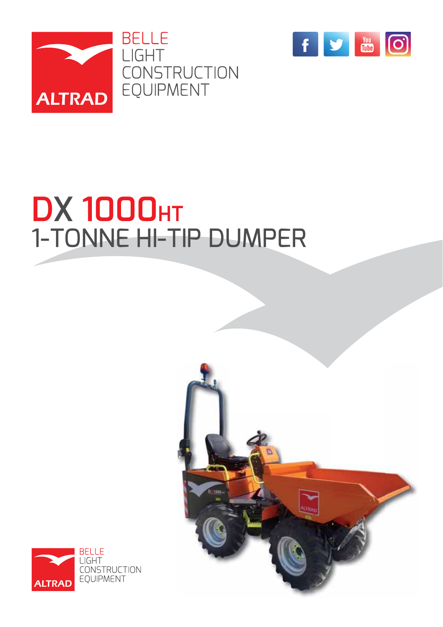



# **DX 1000HT** 1-TONNE HI-TIP DUMPER



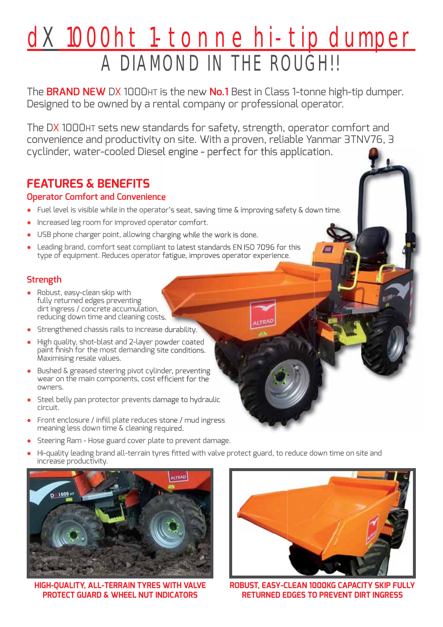## dX 1000ht 1-tonne hi-tip dumper A DIAMOND IN THE ROUGH!!

The **BRAND NEW** DX 1000HT is the new **No.1** Best in Class 1-tonne high-tip dumper. Designed to be owned by a rental company or professional operator.

The DX 1000HT sets new standards for safety, strength, operator comfort and convenience and productivity on site. With a proven, reliable Yanmar 3TNV76, 3 cyclinder, water-cooled Diesel engine - perfect for this application.

## **FEATURES & BENEFITS**

## **Operator Comfort and Convenience**

- Fuel level is visible while in the operator's seat, saving time & improving safety & down time.
- Increased leg room for improved operator comfort.
- USB phone charger point, allowing charging while the work is done.
- Leading brand, comfort seat compliant to latest standards EN ISO 7096 for this type of equipment. Reduces operator fatigue, improves operator experience.

## **Strength**

- **Ɣ** Robust, easy-clean skip with fully returned edges preventing dirt ingress / concrete accumulation, reducing down time and cleaning costs.
- **Ɣ** Strengthened chassis rails to increase durability.
- **Ɣ** High quality, shot-blast and 2-layer powder coated paint finish for the most demanding site conditions. Maximising resale values.
- Bushed & greased steering pivot cylinder, preventing wear on the main components, cost efficient for the owners.
- **Ɣ** Steel belly pan protector prevents damage to hydraulic circuit.
- Front enclosure / infill plate reduces stone / mud ingress meaning less down time & cleaning required.
- **Ɣ** Steering Ram Hose guard cover plate to prevent damage.
- Hi-quality leading brand all-terrain tyres fitted with valve protect guard, to reduce down time on site and increase productivity.



**HIGH-QUALITY, ALL-TERRAIN TYRES WITH VALVE PROTECT GUARD & WHEEL NUT INDICATORS**



**ROBUST, EASY-CLEAN 1000KG CAPACITY SKIP FULLY RETURNED EDGES TO PREVENT DIRT INGRESS**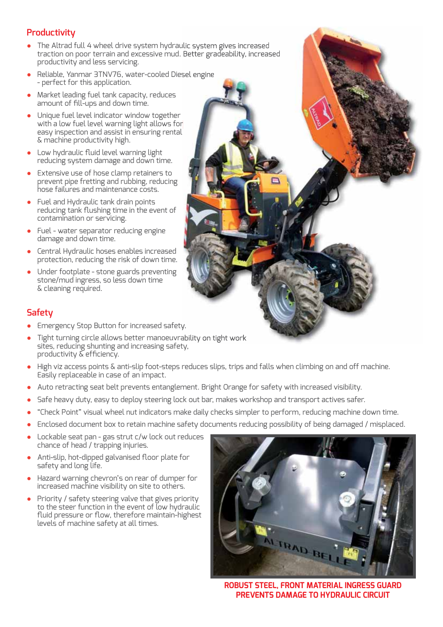## **Productivity**

- **Ɣ** The Altrad full 4 wheel drive system hydraulic system gives increased traction on poor terrain and excessive mud. Better gradeability, increased productivity and less servicing.
- **Ɣ** Reliable, Yanmar 3TNV76, water-cooled Diesel engine - perfect for this application.
- **Ɣ** Market leading fuel tank capacity, reduces amount of fill-ups and down time.
- Unique fuel level indicator window together with a low fuel level warning light allows for easy inspection and assist in ensuring rental & machine productivity high.
- Low hydraulic fluid level warning light reducing system damage and down time.
- **Ɣ** Extensive use of hose clamp retainers to prevent pipe fretting and rubbing, reducing hose failures and maintenance costs.
- **Ɣ** Fuel and Hydraulic tank drain points reducing tank flushing time in the event of contamination or servicing.
- **Ɣ** Fuel water separator reducing engine damage and down time.
- **Ɣ** Central Hydraulic hoses enables increased protection, reducing the risk of down time.
- **Ɣ** Under footplate stone guards preventing stone/mud ingress, so less down time & cleaning required.



## **Safety**

- **Ɣ** Emergency Stop Button for increased safety.
- **Ɣ** Tight turning circle allows better manoeuvrability on tight work sites, reducing shunting and increasing safety, productivity  $\tilde{\&}$  efficiency.
- **Ɣ** High viz access points & anti-slip foot-steps reduces slips, trips and falls when climbing on and off machine. Easily replaceable in case of an impact.
- Auto retracting seat belt prevents entanglement. Bright Orange for safety with increased visibility.
- **Ɣ** Safe heavy duty, easy to deploy steering lock out bar, makes workshop and transport actives safer.
- **Ɣ** "Check Point" visual wheel nut indicators make daily checks simpler to perform, reducing machine down time.
- **Ɣ** Enclosed document box to retain machine safety documents reducing possibility of being damaged / misplaced.
- Lockable seat pan gas strut c/w lock out reduces chance of head / trapping injuries.
- Anti-slip, hot-dipped galvanised floor plate for safety and long life.
- **Ɣ** Hazard warning chevron's on rear of dumper for increased machine visibility on site to others.
- **Ɣ** Priority / safety steering valve that gives priority to the steer function in the event of low hydraulic fluid pressure or flow, therefore maintain-highest levels of machine safety at all times.



**ROBUST STEEL, FRONT MATERIAL INGRESS GUARD PREVENTS DAMAGE TO HYDRAULIC CIRCUIT**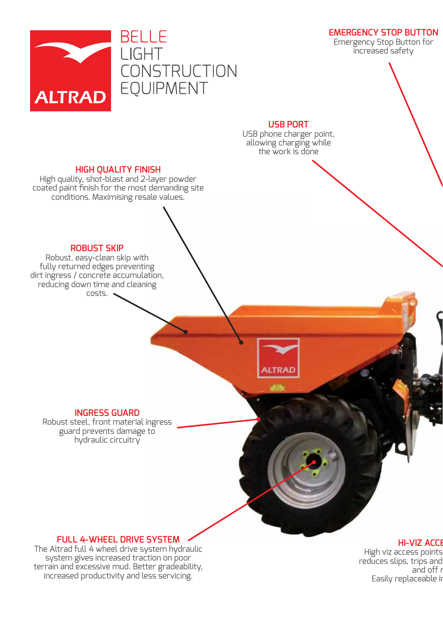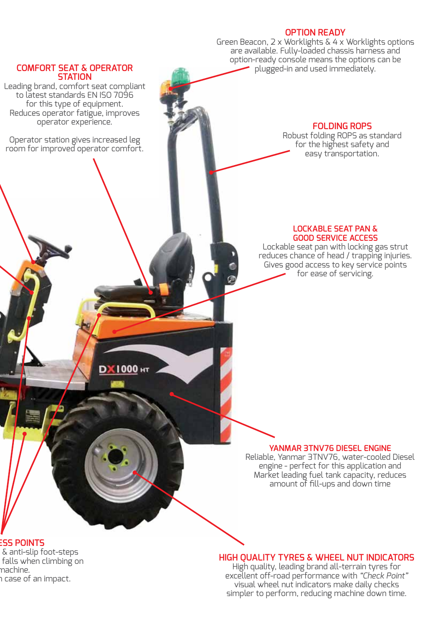#### **OPTION READY**

Green Beacon, 2 x Worklights & 4 x Worklights options are available. Fully-loaded chassis harness and option-ready console means the options can be plugged-in and used immediately.

#### **COMFORT SEAT & OPERATOR STATION**

Leading brand, comfort seat compliant to latest standards EN ISO 7096 for this type of equipment. Reduces operator fatigue, improves operator experience.

Operator station gives increased leg room for improved operator comfort.

DX1000 HT

## **FOLDING ROPS**

Robust folding ROPS as standard for the highest safety and easy transportation.

#### **LOCKABLE SEAT PAN & GOOD SERVICE ACCESS**

Lockable seat pan with locking gas strut reduces chance of head / trapping injuries. Gives good access to key service points for ease of servicing.

#### **YANMAR 3TNV76 DIESEL ENGINE**

Reliable, Yanmar 3TNV76, water-cooled Diesel engine - perfect for this application and Market leading fuel tank capacity, reduces amount of fill-ups and down time

#### **ESS POINTS**

 & anti-slip foot-steps falls when climbing on machine. n case of an impact.

#### **HIGH QUALITY TYRES & WHEEL NUT INDICATORS**

High quality, leading brand all-terrain tyres for excellent off-road performance with *"Check Point"* visual wheel nut indicators make daily checks simpler to perform, reducing machine down time.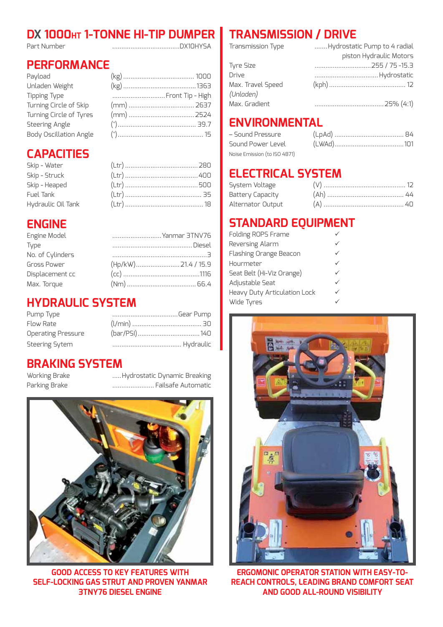## **DX 1000HT 1-TONNE HI-TIP DUMPER** Part Number .....................................DX10HYSA

## **PERFORMANCE**

| Payload                 |                  |  |
|-------------------------|------------------|--|
| Unladen Weight          |                  |  |
| <b>Tipping Type</b>     | Front Tip - High |  |
| Turning Circle of Skip  |                  |  |
| Turning Circle of Tyres |                  |  |
| <b>Steering Angle</b>   |                  |  |
| Body Oscillation Angle  |                  |  |

## **CAPACITIES**

| Skip - Water       |  |
|--------------------|--|
| Skip - Struck      |  |
| Skip - Heaped      |  |
| Fuel Tank          |  |
| Hydraulic Oil Tank |  |

## **ENGINE**

| Yanmar 3TNV76 |
|---------------|
|               |
|               |
|               |
|               |
|               |
|               |

## **HYDRAULIC SYSTEM**

| Pump Type                 | Gear Pump |
|---------------------------|-----------|
| Flow Rate                 |           |
| <b>Operating Pressure</b> |           |
| <b>Steering Sytem</b>     |           |

## **BRAKING SYSTEM**

Working Brake .....Hydrostatic Dynamic Breaking Parking Brake ....................... Failsafe Automatic



**GOOD ACCESS TO KEY FEATURES WITH SELF-LOCKING GAS STRUT AND PROVEN YANMAR 3TNY76 DIESEL ENGINE**

## **TRANSMISSION / DRIVE**

| Transmission Type | Hydrostatic Pump to 4 radial |
|-------------------|------------------------------|
|                   | piston Hydraulic Motors      |
| Tyre Size         |                              |
| Drive             |                              |
| Max. Travel Speed |                              |
| (Unladen)         |                              |
| Max. Gradient     |                              |

## **ENVIRONMENTAL**

| – Sound Pressure             |  |
|------------------------------|--|
| Sound Power Level            |  |
| Noise Emission (to ISO 4871) |  |

## **ELECTRICAL SYSTEM**

| System Voltage    |  |
|-------------------|--|
| Battery Capacity  |  |
| Alternator Output |  |

## **STANDARD EQUIPMENT**

| Folding ROPS Frame           |  |
|------------------------------|--|
| Reversing Alarm              |  |
| Flashing Orange Beacon       |  |
| Hourmeter                    |  |
| Seat Belt (Hi-Viz Orange)    |  |
| Adjustable Seat              |  |
| Heavy Duty Articulation Lock |  |
| Wide Tyres                   |  |



**ERGOMONIC OPERATOR STATION WITH EASY-TO-REACH CONTROLS, LEADING BRAND COMFORT SEAT AND GOOD ALL-ROUND VISIBILITY**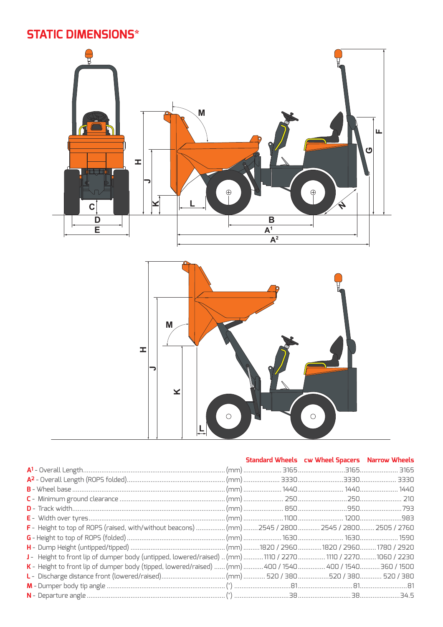## **STATIC DIMENSIONS\***



|                                                                                                            |  | Standard Wheels cw Wheel Spacers Narrow Wheels |  |
|------------------------------------------------------------------------------------------------------------|--|------------------------------------------------|--|
|                                                                                                            |  |                                                |  |
|                                                                                                            |  |                                                |  |
|                                                                                                            |  |                                                |  |
|                                                                                                            |  |                                                |  |
|                                                                                                            |  |                                                |  |
|                                                                                                            |  |                                                |  |
| F - Height to top of ROPS (raised, with/without beacons)  (mm) 2545 / 2800  2545 / 2800  2505 / 2760       |  |                                                |  |
|                                                                                                            |  |                                                |  |
|                                                                                                            |  |                                                |  |
| J- Height to front lip of dumper body (untipped, lowered/raised)  (mm) 1110 / 2270 1110 / 2270 1060 / 2230 |  |                                                |  |
| K - Height to front lip of dumper body (tipped, lowered/raised)  (mm)  400 / 1540  400 / 1540  360 / 1500  |  |                                                |  |
|                                                                                                            |  |                                                |  |
|                                                                                                            |  |                                                |  |
|                                                                                                            |  |                                                |  |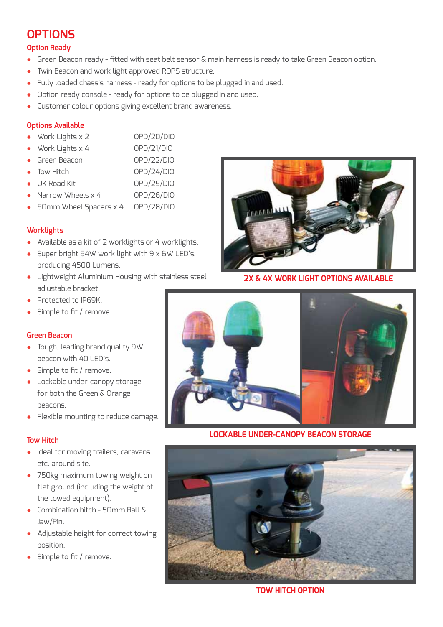## **OPTIONS**

#### **Option Ready**

- Green Beacon ready fitted with seat belt sensor & main harness is ready to take Green Beacon option.
- **Ɣ** Twin Beacon and work light approved ROPS structure.
- **Ɣ** Fully loaded chassis harness ready for options to be plugged in and used.
- Option ready console ready for options to be plugged in and used.
- **Ɣ** Customer colour options giving excellent brand awareness.

#### **Options Available**

- **Ɣ** Work Lights x 2 OPD/20/DIO
- **Ɣ** Work Lights x 4 OPD/21/DIO
- **Ɣ** Green Beacon OPD/22/DIO
- Tow Hitch OPD/24/DIO
- UK Road Kit **black OPD/25/DIO**
- **Ɣ** Narrow Wheels x 4 OPD/26/DIO
- **Ɣ** 50mm Wheel Spacers x 4 OPD/28/DIO

#### **Worklights**

- **Ɣ** Available as a kit of 2 worklights or 4 worklights.
- Super bright 54W work light with 9 x 6W LED's, producing 4500 Lumens.
- **Ɣ** Lightweight Aluminium Housing with stainless steel adjustable bracket.
- **Ɣ** Protected to IP69K.
- Simple to fit / remove.

#### **Green Beacon**

- **Ɣ** Tough, leading brand quality 9W beacon with 40 LED's.
- Simple to fit / remove.
- **Ɣ** Lockable under-canopy storage for both the Green & Orange beacons.
- **Ɣ** Flexible mounting to reduce damage.

#### **Tow Hitch**

- **Ɣ** Ideal for moving trailers, caravans etc. around site.
- **Ɣ** 750kg maximum towing weight on flat ground (including the weight of the towed equipment).
- **Ɣ** Combination hitch 50mm Ball & Jaw/Pin.
- **Ɣ** Adjustable height for correct towing position.
- Simple to fit / remove.



**2X & 4X WORK LIGHT OPTIONS AVAILABLE**



**LOCKABLE UNDER-CANOPY BEACON STORAGE**



**TOW HITCH OPTION**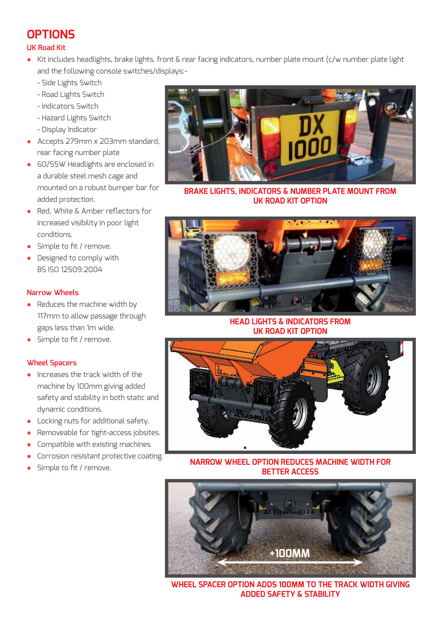## **OPTIONS**

## **UK Road Kit**

- **Ɣ** Kit includes headlights, brake lights, front & rear facing indicators, number plate mount (c/w number plate light and the following console switches/displays:-
	- Side Lights Switch
	- Road Lights Switch
	- Indicators Switch
	- Hazard Lights Switch
	- Display Indicator
- **Ɣ** Accepts 279mm x 203mm standard, rear facing number plate
- **Ɣ** 60/55W Headlights are enclosed in a durable steel mesh cage and mounted on a robust bumper bar for added protection.
- Red, White & Amber reflectors for increased visibility in poor light conditions.
- Simple to fit / remove.
- **Ɣ** Designed to comply with BS ISO 12509:2004

#### **Narrow Wheels**

- Reduces the machine width by 117mm to allow passage through gaps less than 1m wide.
- Simple to fit / remove.

## **Wheel Spacers**

- **Ɣ** Increases the track width of the machine by 100mm giving added safety and stability in both static and dynamic conditions.
- **Ɣ** Locking nuts for additional safety.
- **Ɣ** Removeable for tight-access jobsites.
- **Ɣ** Compatible with existing machines
- **Ɣ** Corrosion resistant protective coating.
- Simple to fit / remove.



**BRAKE LIGHTS, INDICATORS & NUMBER PLATE MOUNT FROM UK ROAD KIT OPTION**



#### **HEAD LIGHTS & INDICATORS FROM UK ROAD KIT OPTION**



**NARROW WHEEL OPTION REDUCES MACHINE WIDTH FOR BETTER ACCESS**



**WHEEL SPACER OPTION ADDS 100MM TO THE TRACK WIDTH GIVING ADDED SAFETY & STABILITY**